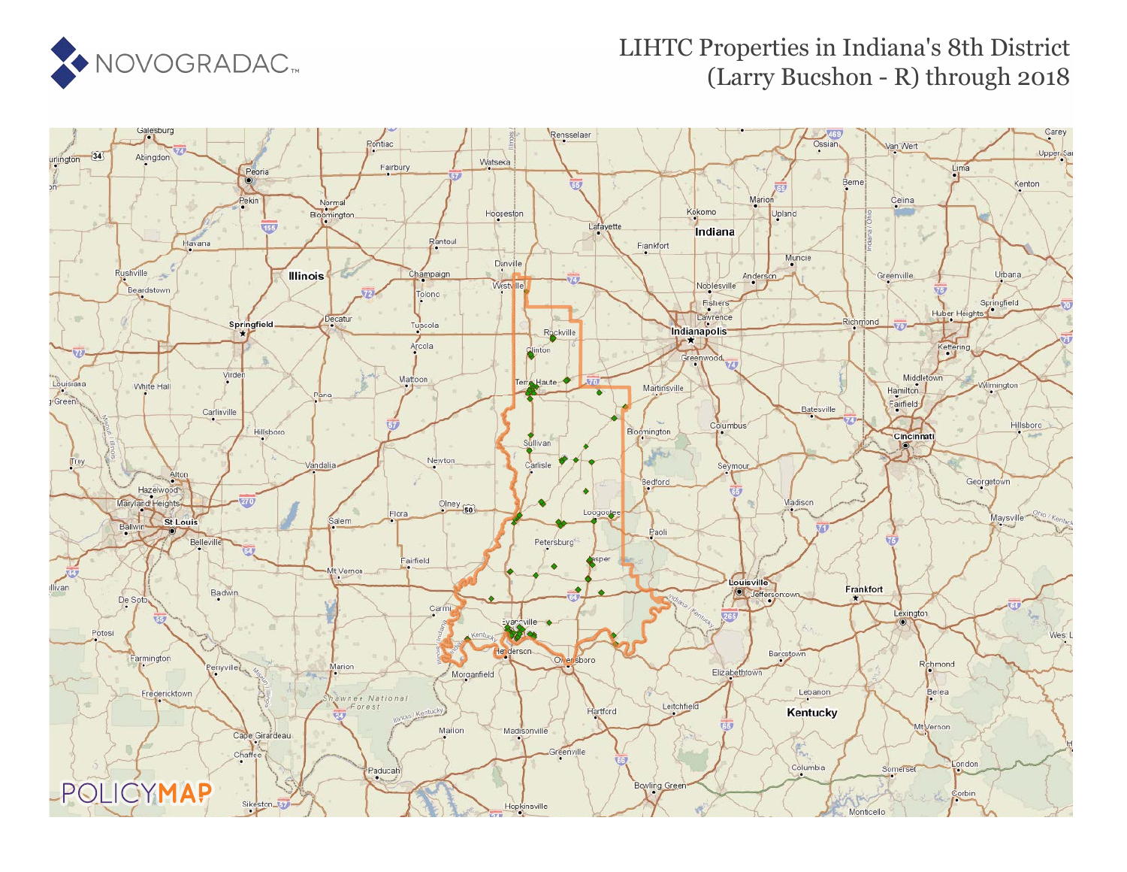

#### LIHTC Properties in Indiana's 8th District (Larry Bucshon - R) through 2018

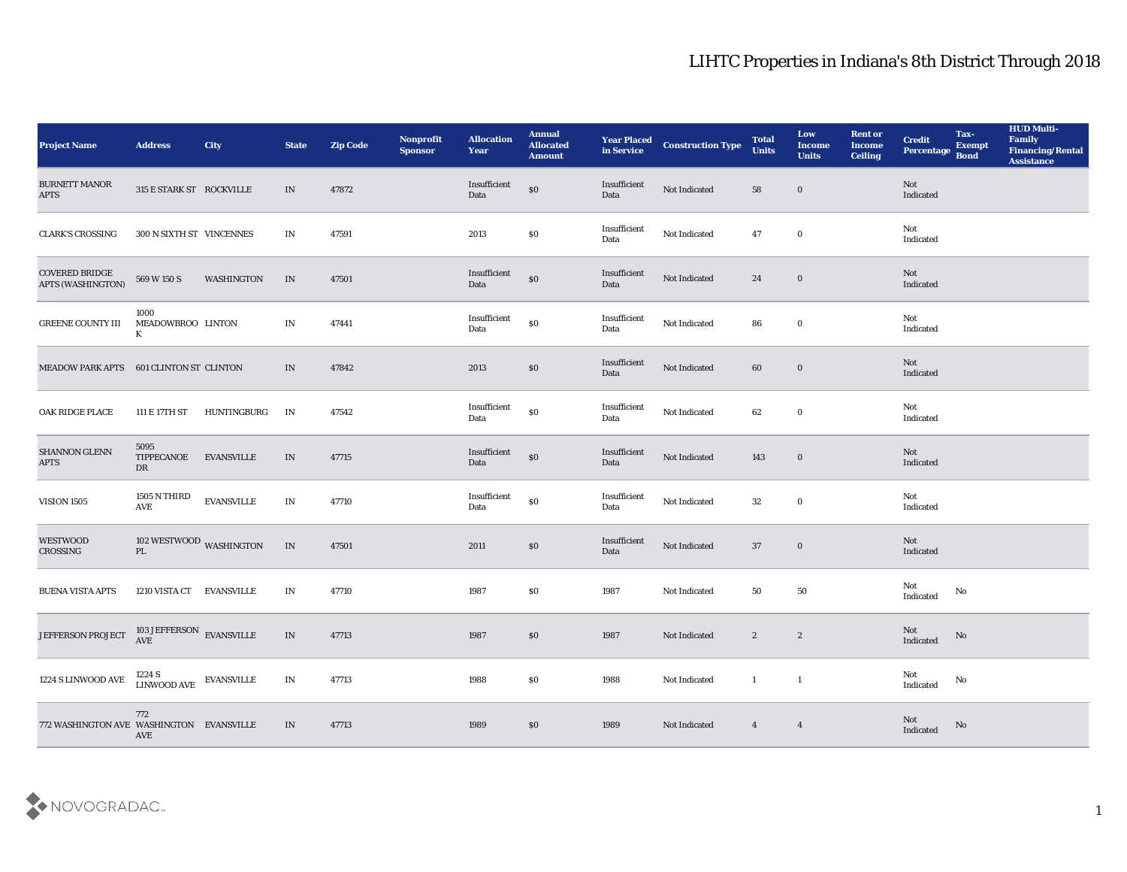| <b>Project Name</b>                        | <b>Address</b>                    | <b>City</b>             | <b>State</b>  | <b>Zip Code</b> | Nonprofit<br><b>Sponsor</b> | <b>Allocation</b><br><b>Year</b> | <b>Annual</b><br><b>Allocated</b><br><b>Amount</b> | <b>Year Placed</b><br>in Service | <b>Construction Type</b> | <b>Total</b><br><b>Units</b> | Low<br><b>Income</b><br><b>Units</b> | <b>Rent or</b><br><b>Income</b><br><b>Ceiling</b> | <b>Credit</b><br>Percentage Bond           | Tax-<br><b>Exempt</b> | <b>HUD Multi-</b><br>Family<br><b>Financing/Rental</b><br><b>Assistance</b> |
|--------------------------------------------|-----------------------------------|-------------------------|---------------|-----------------|-----------------------------|----------------------------------|----------------------------------------------------|----------------------------------|--------------------------|------------------------------|--------------------------------------|---------------------------------------------------|--------------------------------------------|-----------------------|-----------------------------------------------------------------------------|
| <b>BURNETT MANOR</b><br><b>APTS</b>        | 315 E STARK ST ROCKVILLE          |                         | IN            | 47872           |                             | Insufficient<br>Data             | $\$0$                                              | Insufficient<br>Data             | Not Indicated            | 58                           | $\bf{0}$                             |                                                   | Not<br>Indicated                           |                       |                                                                             |
| <b>CLARK'S CROSSING</b>                    | 300 N SIXTH ST VINCENNES          |                         | IN            | 47591           |                             | 2013                             | $\$0$                                              | Insufficient<br>Data             | Not Indicated            | 47                           | $\bf{0}$                             |                                                   | Not<br>Indicated                           |                       |                                                                             |
| COVERED BRIDGE<br><b>APTS (WASHINGTON)</b> | 569 W 150 S                       | WASHINGTON              | IN            | 47501           |                             | Insufficient<br>Data             | $\$0$                                              | Insufficient<br>Data             | Not Indicated            | 24                           | $\bf{0}$                             |                                                   | <b>Not</b><br>Indicated                    |                       |                                                                             |
| <b>GREENE COUNTY III</b>                   | 1000<br>MEADOWBROO LINTON<br>K    |                         | IN            | 47441           |                             | Insufficient<br>Data             | $\boldsymbol{\mathsf{S}}\boldsymbol{\mathsf{0}}$   | Insufficient<br>Data             | Not Indicated            | 86                           | $\bf{0}$                             |                                                   | Not<br>Indicated                           |                       |                                                                             |
| <b>MEADOW PARK APTS</b>                    | <b>601 CLINTON ST CLINTON</b>     |                         | IN            | 47842           |                             | 2013                             | $\$0$                                              | Insufficient<br>Data             | Not Indicated            | 60                           | $\bf{0}$                             |                                                   | <b>Not</b><br>Indicated                    |                       |                                                                             |
| OAK RIDGE PLACE                            | 111 E 17TH ST                     | HUNTINGBURG             | IN            | 47542           |                             | Insufficient<br>Data             | $\$0$                                              | Insufficient<br>Data             | Not Indicated            | 62                           | $\bf{0}$                             |                                                   | Not<br>Indicated                           |                       |                                                                             |
| SHANNON GLENN<br><b>APTS</b>               | 5095<br><b>TIPPECANOE</b><br>DR   | <b>EVANSVILLE</b>       | IN            | 47715           |                             | Insufficient<br>Data             | $\boldsymbol{\mathsf{S}}\boldsymbol{\mathsf{0}}$   | Insufficient<br>Data             | Not Indicated            | 143                          | $\bf{0}$                             |                                                   | Not<br>Indicated                           |                       |                                                                             |
| <b>VISION 1505</b>                         | 1505 N THIRD<br>AVE               | ${\hbox{EVANSVILLE}}$   | $\mathbf{IN}$ | 47710           |                             | Insufficient<br>Data             | $\$0$                                              | Insufficient<br>Data             | Not Indicated            | 32                           | $\bf{0}$                             |                                                   | Not<br>Indicated                           |                       |                                                                             |
| <b>WESTWOOD</b><br>CROSSING                | $\mathbf{PL}$                     | 102 WESTWOOD WASHINGTON | $\;$ IN       | 47501           |                             | 2011                             | \$0                                                | Insufficient<br>Data             | Not Indicated            | 37                           | $\bf{0}$                             |                                                   | Not<br>Indicated                           |                       |                                                                             |
| <b>BUENA VISTA APTS</b>                    | 1210 VISTA CT EVANSVILLE          |                         | IN            | 47710           |                             | 1987                             | \$0                                                | 1987                             | Not Indicated            | 50                           | 50                                   |                                                   | Not<br>Indicated                           | No                    |                                                                             |
| JEFFERSON PROJECT                          | 103 JEFFERSON EVANSVILLE<br>AVE   |                         | IN            | 47713           |                             | 1987                             | \$0                                                | 1987                             | Not Indicated            | $\mathbf{2}$                 | $\mathbf{2}$                         |                                                   | Not<br>Indicated                           | No                    |                                                                             |
| 1224 S LINWOOD AVE                         | $1224$ S $$\,{\rm EVANSVILLE}\ $$ |                         | $\mathbf{IN}$ | 47713           |                             | 1988                             | \$0                                                | 1988                             | Not Indicated            | $\mathbf{1}$                 | $\overline{\phantom{a}}$             |                                                   | Not<br>Indicated                           | $\mathbf {No}$        |                                                                             |
| 772 WASHINGTON AVE WASHINGTON EVANSVILLE   | 772<br>AVE                        |                         | IN            | 47713           |                             | 1989                             | $\$0$                                              | 1989                             | Not Indicated            | $\overline{4}$               | $\overline{4}$                       |                                                   | $\operatorname{\mathsf{Not}}$<br>Indicated | $\rm\thinspace No$    |                                                                             |

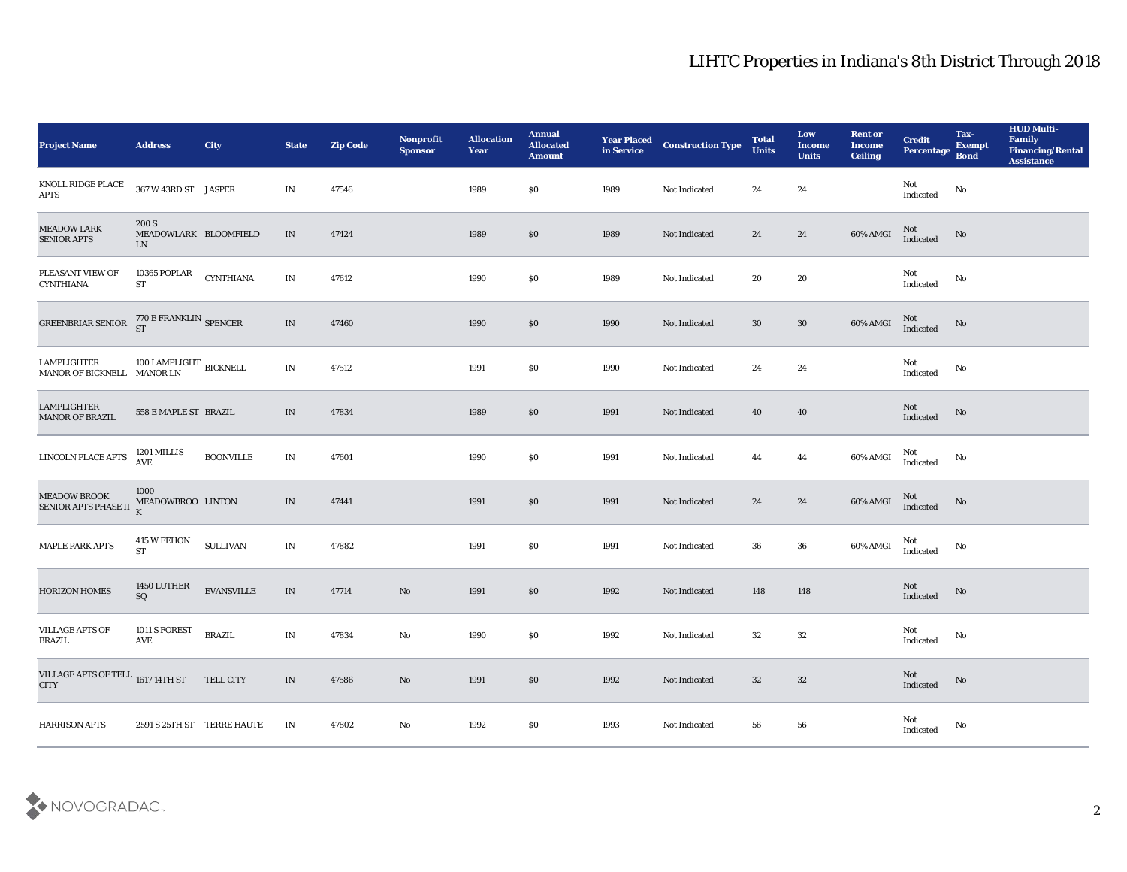| <b>Project Name</b>                          | <b>Address</b>                              | <b>City</b>       | <b>State</b>                    | <b>Zip Code</b> | Nonprofit<br><b>Sponsor</b> | <b>Allocation</b><br><b>Year</b> | <b>Annual</b><br><b>Allocated</b><br><b>Amount</b> | <b>Year Placed<br/>in Service</b> | <b>Construction Type</b> | <b>Total</b><br><b>Units</b> | Low<br><b>Income</b><br><b>Units</b> | <b>Rent or</b><br><b>Income</b><br><b>Ceiling</b> | <b>Credit</b><br>Percentage       | Tax-<br><b>Exempt</b><br><b>Bond</b> | <b>HUD Multi-</b><br>Family<br><b>Financing/Rental</b><br><b>Assistance</b> |
|----------------------------------------------|---------------------------------------------|-------------------|---------------------------------|-----------------|-----------------------------|----------------------------------|----------------------------------------------------|-----------------------------------|--------------------------|------------------------------|--------------------------------------|---------------------------------------------------|-----------------------------------|--------------------------------------|-----------------------------------------------------------------------------|
| KNOLL RIDGE PLACE<br><b>APTS</b>             | 367 W 43RD ST JASPER                        |                   | IN                              | 47546           |                             | 1989                             | \$0                                                | 1989                              | Not Indicated            | 24                           | 24                                   |                                                   | Not<br>Indicated                  | No                                   |                                                                             |
| <b>MEADOW LARK</b><br><b>SENIOR APTS</b>     | 200 S<br>MEADOWLARK BLOOMFIELD<br><b>LN</b> |                   | IN                              | 47424           |                             | 1989                             | $\$0$                                              | 1989                              | Not Indicated            | 24                           | 24                                   | 60% AMGI                                          | ${\rm Not}$ Indicated             | No                                   |                                                                             |
| PLEASANT VIEW OF<br><b>CYNTHIANA</b>         | 10365 POPLAR<br><b>ST</b>                   | <b>CYNTHIANA</b>  | $\mathbf{IN}$                   | 47612           |                             | 1990                             | \$0                                                | 1989                              | Not Indicated            | 20                           | 20                                   |                                                   | Not<br>Indicated                  | No                                   |                                                                             |
| GREENBRIAR SENIOR 770 E FRANKLIN SPENCER     |                                             |                   | $\ensuremath{\text{IN}}\xspace$ | 47460           |                             | 1990                             | S <sub>0</sub>                                     | 1990                              | Not Indicated            | 30                           | $30\,$                               | 60% AMGI                                          | Not<br>Indicated                  | No                                   |                                                                             |
| LAMPLIGHTER<br>MANOR OF BICKNELL MANOR LN    | 100 LAMPLIGHT BICKNELL                      |                   | $\mathbf{IN}$                   | 47512           |                             | 1991                             | \$0                                                | 1990                              | Not Indicated            | 24                           | 24                                   |                                                   | Not<br>$\operatorname{Indicated}$ | No                                   |                                                                             |
| <b>LAMPLIGHTER</b><br><b>MANOR OF BRAZIL</b> | 558 E MAPLE ST BRAZIL                       |                   | IN                              | 47834           |                             | 1989                             | $\$0$                                              | 1991                              | Not Indicated            | 40                           | 40                                   |                                                   | Not<br>Indicated                  | No                                   |                                                                             |
| LINCOLN PLACE APTS                           | 1201 MILLIS<br><b>AVE</b>                   | <b>BOONVILLE</b>  | IN                              | 47601           |                             | 1990                             | \$0                                                | 1991                              | Not Indicated            | 44                           | 44                                   | 60% AMGI                                          | Not<br>Indicated                  | No                                   |                                                                             |
| <b>MEADOW BROOK</b><br>SENIOR APTS PHASE II  | 1000<br>MEADOWBROO LINTON                   |                   | IN                              | 47441           |                             | 1991                             | $\$0$                                              | 1991                              | Not Indicated            | 24                           | 24                                   | 60% AMGI                                          | Not<br>Indicated                  | No                                   |                                                                             |
| <b>MAPLE PARK APTS</b>                       | 415 W FEHON<br><b>ST</b>                    | <b>SULLIVAN</b>   | $\mathbf{IN}$                   | 47882           |                             | 1991                             | \$0                                                | 1991                              | Not Indicated            | 36                           | 36                                   | 60% AMGI                                          | Not<br>Indicated                  | No                                   |                                                                             |
| HORIZON HOMES                                | 1450 LUTHER<br>$\mbox{SQ}$                  | <b>EVANSVILLE</b> | IN                              | 47714           | $\rm No$                    | 1991                             | $\$0$                                              | 1992                              | Not Indicated            | 148                          | 148                                  |                                                   | Not<br>Indicated                  | No                                   |                                                                             |
| <b>VILLAGE APTS OF</b><br><b>BRAZIL</b>      | 1011 S FOREST<br>AVE                        | <b>BRAZIL</b>     | IN                              | 47834           | No                          | 1990                             | $\$0$                                              | 1992                              | Not Indicated            | 32                           | 32                                   |                                                   | Not<br>Indicated                  | No                                   |                                                                             |
| VILLAGE APTS OF TELL $\,$ 1617 14TH ST CITY  |                                             | <b>TELL CITY</b>  | $\;$ IN                         | 47586           | $\rm\thinspace No$          | 1991                             | $\$0$                                              | 1992                              | Not Indicated            | 32                           | $32\,$                               |                                                   | ${\rm Not}$ Indicated             | $\rm No$                             |                                                                             |
| <b>HARRISON APTS</b>                         | 2591 S 25TH ST TERRE HAUTE                  |                   | IN                              | 47802           | ${\bf No}$                  | 1992                             | \$0                                                | 1993                              | Not Indicated            | 56                           | ${\bf 56}$                           |                                                   | Not<br>Indicated                  | No                                   |                                                                             |

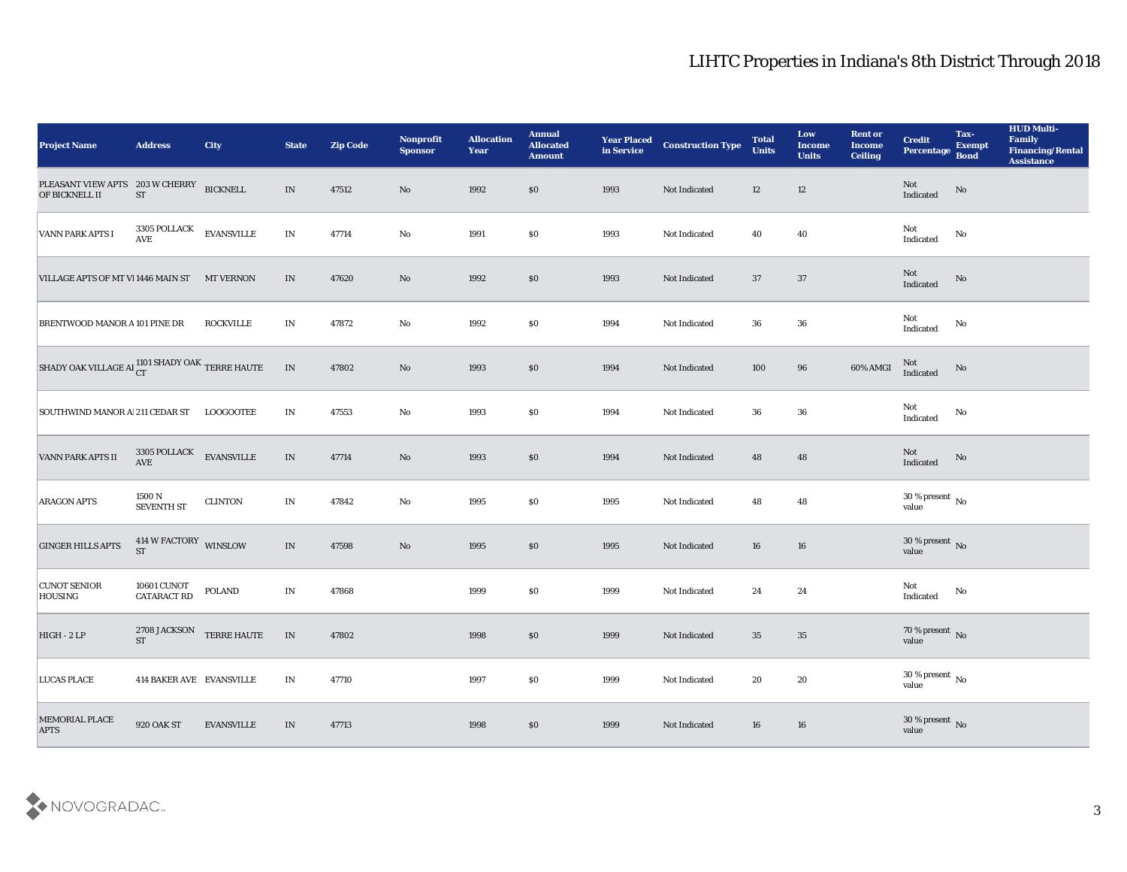| <b>Project Name</b>                                                       | <b>Address</b>                                      | <b>City</b>              | <b>State</b>                    | <b>Zip Code</b> | Nonprofit<br><b>Sponsor</b> | <b>Allocation</b><br><b>Year</b> | <b>Annual</b><br><b>Allocated</b><br><b>Amount</b> | <b>Year Placed</b><br>in Service | <b>Construction Type</b> | <b>Total</b><br><b>Units</b> | Low<br><b>Income</b><br><b>Units</b> | <b>Rent or</b><br><b>Income</b><br><b>Ceiling</b> | <b>Credit</b><br>Percentage            | Tax-<br><b>Exempt</b><br><b>Bond</b> | <b>HUD Multi-</b><br>Family<br><b>Financing/Rental</b><br><b>Assistance</b> |
|---------------------------------------------------------------------------|-----------------------------------------------------|--------------------------|---------------------------------|-----------------|-----------------------------|----------------------------------|----------------------------------------------------|----------------------------------|--------------------------|------------------------------|--------------------------------------|---------------------------------------------------|----------------------------------------|--------------------------------------|-----------------------------------------------------------------------------|
| PLEASANT VIEW APTS $\,$ 203 W CHERRY $\,$ BICKNELL OF BICKNELL II $\,$ ST |                                                     |                          | IN                              | 47512           | No                          | 1992                             | $\$0$                                              | 1993                             | Not Indicated            | 12                           | 12                                   |                                                   | Not<br>Indicated                       | $\rm \bf No$                         |                                                                             |
| <b>VANN PARK APTS I</b>                                                   | 3305 POLLACK<br><b>AVE</b>                          | <b>EVANSVILLE</b>        | IN                              | 47714           | No                          | 1991                             | \$0                                                | 1993                             | Not Indicated            | 40                           | 40                                   |                                                   | Not<br>Indicated                       | No                                   |                                                                             |
| VILLAGE APTS OF MT V11446 MAIN ST                                         |                                                     | <b>MT VERNON</b>         | IN                              | 47620           | $\mathbf{N}\mathbf{o}$      | 1992                             | \$0                                                | 1993                             | Not Indicated            | 37                           | 37                                   |                                                   | Not<br>Indicated                       | $\rm No$                             |                                                                             |
| BRENTWOOD MANOR A 101 PINE DR                                             |                                                     | <b>ROCKVILLE</b>         | IN                              | 47872           | $\mathbf{No}$               | 1992                             | \$0                                                | 1994                             | Not Indicated            | 36                           | 36                                   |                                                   | Not<br>Indicated                       | ${\bf No}$                           |                                                                             |
| SHADY OAK VILLAGE AI $_{\rm CT}^{1101}$ SHADY OAK TERRE HAUTE             |                                                     |                          | $\;$ IN                         | 47802           | No                          | 1993                             | \$0                                                | 1994                             | Not Indicated            | 100                          | 96                                   | 60% AMGI                                          | Not<br>Indicated                       | $\rm No$                             |                                                                             |
| SOUTHWIND MANOR A 211 CEDAR ST LOOGOOTEE                                  |                                                     |                          | IN                              | 47553           | $\mathbf{No}$               | 1993                             | \$0                                                | 1994                             | Not Indicated            | 36                           | 36                                   |                                                   | Not<br>Indicated                       | No                                   |                                                                             |
| VANN PARK APTS II                                                         | 3305 POLLACK EVANSVILLE AVE                         |                          | $\ensuremath{\text{IN}}\xspace$ | 47714           | No                          | 1993                             | \$0                                                | 1994                             | Not Indicated            | 48                           | 48                                   |                                                   | ${\rm Not}$ Indicated                  | $\rm No$                             |                                                                             |
| <b>ARAGON APTS</b>                                                        | $1500\,\mathrm{N}$<br><b>SEVENTH ST</b>             | <b>CLINTON</b>           | IN                              | 47842           | $\mathbf{No}$               | 1995                             | \$0                                                | 1995                             | Not Indicated            | 48                           | 48                                   |                                                   | $30\,\%$ present $\,$ No value         |                                      |                                                                             |
| <b>GINGER HILLS APTS</b>                                                  | 414 W FACTORY WINSLOW<br><b>ST</b>                  |                          | IN                              | 47598           | $\mathbf{N}\mathbf{o}$      | 1995                             | \$0                                                | 1995                             | Not Indicated            | 16                           | 16                                   |                                                   | $30\,\%$ present $\,$ No value         |                                      |                                                                             |
| <b>CUNOT SENIOR</b><br>HOUSING                                            | $10601$ $\ensuremath{\mathrm{UNOT}}$<br>CATARACT RD | POLAND                   | $\mathbf{IN}$                   | 47868           |                             | 1999                             | \$0                                                | 1999                             | Not Indicated            | 24                           | 24                                   |                                                   | Not<br>Indicated                       | No                                   |                                                                             |
| $HIGH - 2 LP$                                                             | <b>ST</b>                                           | 2708 JACKSON TERRE HAUTE | IN                              | 47802           |                             | 1998                             | \$0                                                | 1999                             | Not Indicated            | 35                           | 35                                   |                                                   | 70 % present No<br>value               |                                      |                                                                             |
| <b>LUCAS PLACE</b>                                                        | <b>414 BAKER AVE EVANSVILLE</b>                     |                          | IN                              | 47710           |                             | 1997                             | $\$0$                                              | 1999                             | Not Indicated            | ${\bf 20}$                   | $20\,$                               |                                                   | $30\,\%$ present $\,$ No $\,$<br>value |                                      |                                                                             |
| MEMORIAL PLACE<br><b>APTS</b>                                             | <b>920 OAK ST</b>                                   | <b>EVANSVILLE</b>        | IN                              | 47713           |                             | 1998                             | \$0                                                | 1999                             | Not Indicated            | 16                           | ${\bf 16}$                           |                                                   | $30\,\%$ present $\,$ No value         |                                      |                                                                             |

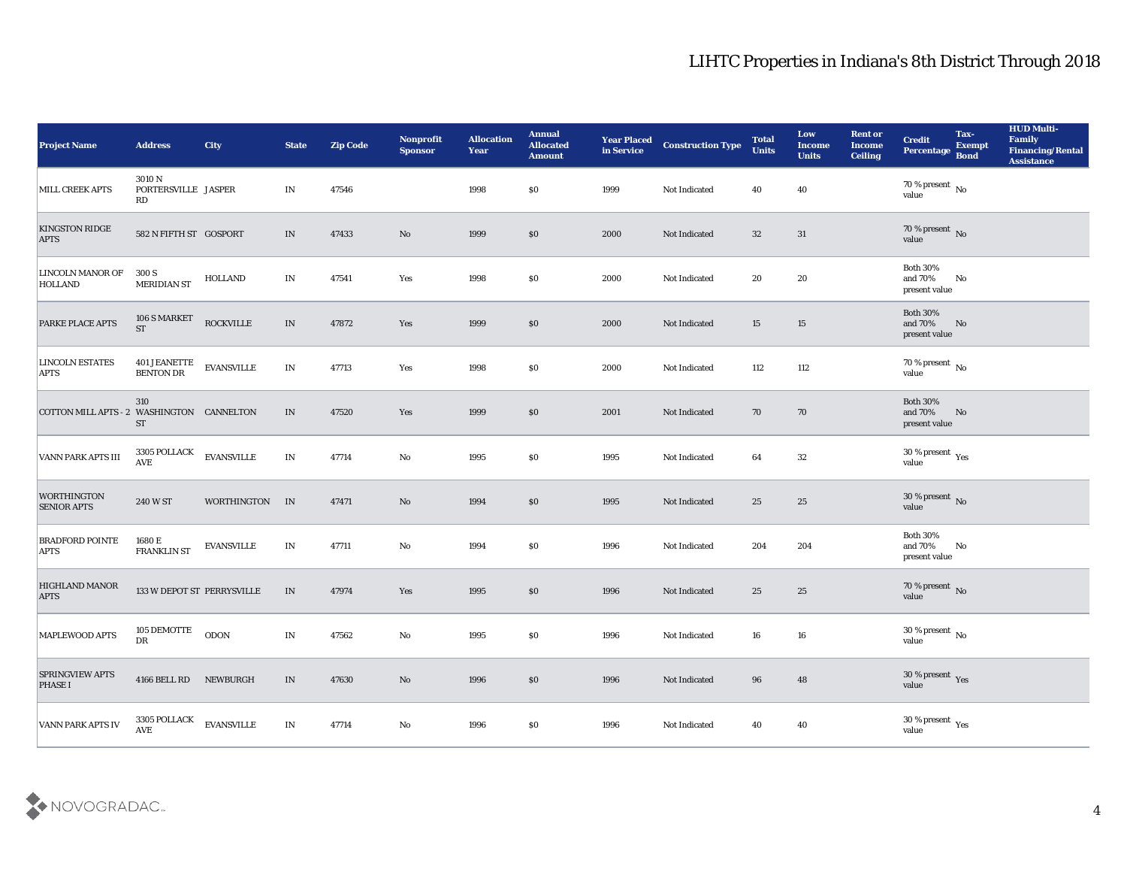| <b>Project Name</b>                       | <b>Address</b>                                | City                       | <b>State</b>                    | <b>Zip Code</b> | Nonprofit<br><b>Sponsor</b> | <b>Allocation</b><br><b>Year</b> | <b>Annual</b><br><b>Allocated</b><br><b>Amount</b> | <b>Year Placed</b><br>in Service | <b>Construction Type</b> | <b>Total</b><br><b>Units</b> | Low<br>Income<br><b>Units</b> | <b>Rent or</b><br><b>Income</b><br><b>Ceiling</b> | <b>Credit</b><br>Percentage Bond            | Tax-<br><b>Exempt</b> | <b>HUD Multi-</b><br>Family<br><b>Financing/Rental</b><br><b>Assistance</b> |
|-------------------------------------------|-----------------------------------------------|----------------------------|---------------------------------|-----------------|-----------------------------|----------------------------------|----------------------------------------------------|----------------------------------|--------------------------|------------------------------|-------------------------------|---------------------------------------------------|---------------------------------------------|-----------------------|-----------------------------------------------------------------------------|
| MILL CREEK APTS                           | 3010 N<br>PORTERSVILLE JASPER<br>RD           |                            | IN                              | 47546           |                             | 1998                             | \$0\$                                              | 1999                             | Not Indicated            | 40                           | 40                            |                                                   | 70 % present $\,$ No $\,$<br>value          |                       |                                                                             |
| <b>KINGSTON RIDGE</b><br><b>APTS</b>      | 582 N FIFTH ST GOSPORT                        |                            | IN                              | 47433           | No                          | 1999                             | \$0                                                | 2000                             | Not Indicated            | 32                           | 31                            |                                                   | $70\,\%$ present $\,$ No value              |                       |                                                                             |
| <b>LINCOLN MANOR OF</b><br><b>HOLLAND</b> | 300 S<br><b>MERIDIAN ST</b>                   | <b>HOLLAND</b>             | IN                              | 47541           | Yes                         | 1998                             | \$0                                                | 2000                             | Not Indicated            | 20                           | 20                            |                                                   | <b>Both 30%</b><br>and 70%<br>present value | No                    |                                                                             |
| PARKE PLACE APTS                          | 106 S MARKET<br><b>ST</b>                     | <b>ROCKVILLE</b>           | IN                              | 47872           | Yes                         | 1999                             | \$0                                                | 2000                             | Not Indicated            | 15                           | 15                            |                                                   | <b>Both 30%</b><br>and 70%<br>present value | No                    |                                                                             |
| <b>LINCOLN ESTATES</b><br><b>APTS</b>     | 401 JEANETTE<br>BENTON DR                     | <b>EVANSVILLE</b>          | IN                              | 47713           | Yes                         | 1998                             | \$0                                                | 2000                             | Not Indicated            | 112                          | 112                           |                                                   | $70\,\%$ present $\,$ No value              |                       |                                                                             |
| COTTON MILL APTS - 2 WASHINGTON CANNELTON | 310<br><b>ST</b>                              |                            | IN                              | 47520           | Yes                         | 1999                             | $\$0$                                              | 2001                             | Not Indicated            | 70                           | 70                            |                                                   | <b>Both 30%</b><br>and 70%<br>present value | No                    |                                                                             |
| <b>VANN PARK APTS III</b>                 | 3305 POLLACK<br><b>AVE</b>                    | <b>EVANSVILLE</b>          | $\mathbf{IN}$                   | 47714           | No                          | 1995                             | $\$0$                                              | 1995                             | Not Indicated            | 64                           | 32                            |                                                   | $30\,\%$ present $\,$ Yes value             |                       |                                                                             |
| <b>WORTHINGTON</b><br><b>SENIOR APTS</b>  | 240 W ST                                      | WORTHINGTON                | IN                              | 47471           | No                          | 1994                             | \$0                                                | 1995                             | Not Indicated            | 25                           | 25                            |                                                   | $30\,\%$ present $\,$ No value              |                       |                                                                             |
| <b>BRADFORD POINTE</b><br><b>APTS</b>     | 1680 E<br><b>FRANKLIN ST</b>                  | <b>EVANSVILLE</b>          | $\mathbf{IN}$                   | 47711           | No                          | 1994                             | \$0                                                | 1996                             | Not Indicated            | 204                          | 204                           |                                                   | <b>Both 30%</b><br>and 70%<br>present value | No                    |                                                                             |
| <b>HIGHLAND MANOR</b><br><b>APTS</b>      |                                               | 133 W DEPOT ST PERRYSVILLE | IN                              | 47974           | Yes                         | 1995                             | $\$0$                                              | 1996                             | Not Indicated            | 25                           | 25                            |                                                   | $70\,\%$ present $\,$ No value              |                       |                                                                             |
| <b>MAPLEWOOD APTS</b>                     | 105 DEMOTTE<br>DR                             | <b>ODON</b>                | IN                              | 47562           | No                          | 1995                             | \$0                                                | 1996                             | Not Indicated            | 16                           | 16                            |                                                   | 30 % present $\,$ No $\,$<br>value          |                       |                                                                             |
| <b>SPRINGVIEW APTS</b><br><b>PHASE I</b>  | 4166 BELL RD NEWBURGH                         |                            | $\ensuremath{\text{IN}}\xspace$ | 47630           | $\mathbf {No}$              | 1996                             | $\$0$                                              | 1996                             | Not Indicated            | ${\bf 96}$                   | 48                            |                                                   | $30\,\%$ present $\,$ Yes value             |                       |                                                                             |
| <b>VANN PARK APTS IV</b>                  | 3305 POLLACK<br>$\operatorname{\mathsf{AVE}}$ | <b>EVANSVILLE</b>          | IN                              | 47714           | $\mathbf {No}$              | 1996                             | \$0                                                | 1996                             | Not Indicated            | 40                           | 40                            |                                                   | $30\,\%$ present $\,$ Yes value             |                       |                                                                             |

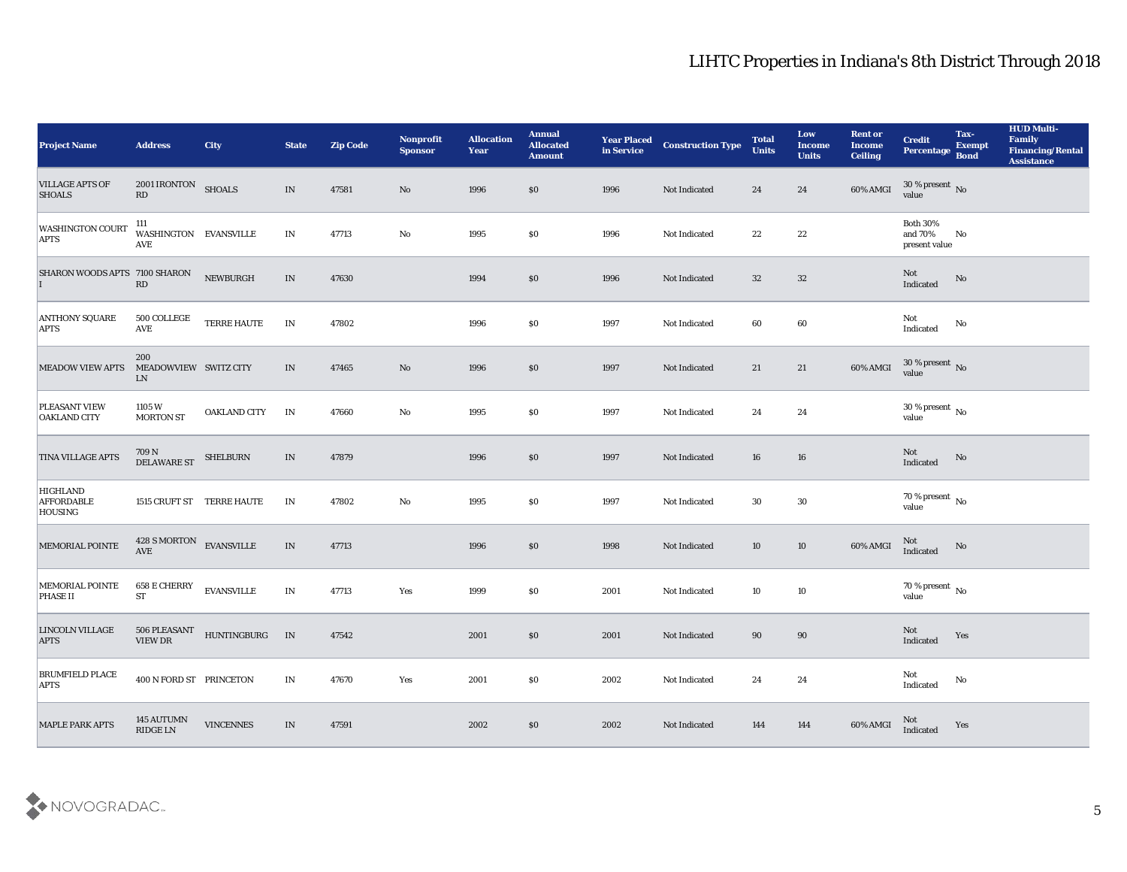| <b>Project Name</b>                             | <b>Address</b>                                  | City                      | <b>State</b>                    | <b>Zip Code</b> | Nonprofit<br><b>Sponsor</b>                                                           | <b>Allocation</b><br><b>Year</b> | <b>Annual</b><br><b>Allocated</b><br><b>Amount</b> | <b>Year Placed</b><br>in Service | <b>Construction Type</b> | <b>Total</b><br><b>Units</b> | Low<br><b>Income</b><br><b>Units</b> | <b>Rent or</b><br><b>Income</b><br><b>Ceiling</b> | <b>Credit</b><br>Percentage                 | Tax-<br><b>Exempt</b><br><b>Bond</b> | <b>HUD Multi-</b><br>Family<br>Financing/Rental<br><b>Assistance</b> |
|-------------------------------------------------|-------------------------------------------------|---------------------------|---------------------------------|-----------------|---------------------------------------------------------------------------------------|----------------------------------|----------------------------------------------------|----------------------------------|--------------------------|------------------------------|--------------------------------------|---------------------------------------------------|---------------------------------------------|--------------------------------------|----------------------------------------------------------------------|
| <b>VILLAGE APTS OF</b><br><b>SHOALS</b>         | 2001 IRONTON SHOALS<br>$\mathbf{R}\mathbf{D}$   |                           | IN                              | 47581           | No                                                                                    | 1996                             | $\$0$                                              | 1996                             | Not Indicated            | 24                           | 24                                   | 60% AMGI                                          | $30\,\%$ present $\,$ No value              |                                      |                                                                      |
| <b>WASHINGTON COURT</b><br><b>APTS</b>          | 111<br>WASHINGTON EVANSVILLE<br>AVE             |                           | IN                              | 47713           | No                                                                                    | 1995                             | $\$0$                                              | 1996                             | Not Indicated            | 22                           | 22                                   |                                                   | <b>Both 30%</b><br>and 70%<br>present value | No                                   |                                                                      |
| SHARON WOODS APTS 7100 SHARON                   | RD                                              | NEWBURGH                  | IN                              | 47630           |                                                                                       | 1994                             | $\$0$                                              | 1996                             | Not Indicated            | 32                           | 32                                   |                                                   | Not<br>Indicated                            | $\mathbf{N}\mathbf{o}$               |                                                                      |
| <b>ANTHONY SQUARE</b><br><b>APTS</b>            | 500 COLLEGE<br><b>AVE</b>                       | TERRE HAUTE               | IN                              | 47802           |                                                                                       | 1996                             | \$0\$                                              | 1997                             | Not Indicated            | 60                           | 60                                   |                                                   | Not<br>Indicated                            | $\rm No$                             |                                                                      |
| <b>MEADOW VIEW APTS</b>                         | 200<br>MEADOWVIEW SWITZ CITY<br>LN              |                           | IN                              | 47465           | No                                                                                    | 1996                             | \$0\$                                              | 1997                             | Not Indicated            | 21                           | 21                                   | 60% AMGI                                          | $30\,\%$ present $\,$ No value              |                                      |                                                                      |
| <b>PLEASANT VIEW</b><br><b>OAKLAND CITY</b>     | 1105 W<br><b>MORTON ST</b>                      | OAKLAND CITY              | IN                              | 47660           | $\rm\thinspace No$                                                                    | 1995                             | \$0                                                | 1997                             | Not Indicated            | 24                           | 24                                   |                                                   | $30\,\%$ present $\,$ No value              |                                      |                                                                      |
| TINA VILLAGE APTS                               | 709 N<br>DELAWARE ST                            | <b>SHELBURN</b>           | $\ensuremath{\text{IN}}\xspace$ | 47879           |                                                                                       | 1996                             | \$0\$                                              | 1997                             | Not Indicated            | 16                           | 16                                   |                                                   | Not<br>Indicated                            | $\mathbf{N}\mathbf{o}$               |                                                                      |
| <b>HIGHLAND</b><br><b>AFFORDABLE</b><br>HOUSING |                                                 | 1515 CRUFT ST TERRE HAUTE | IN                              | 47802           | $\mathbf{No}$                                                                         | 1995                             | \$0                                                | 1997                             | Not Indicated            | 30                           | 30                                   |                                                   | $70\,\%$ present $\,$ No value              |                                      |                                                                      |
| MEMORIAL POINTE                                 | 428 S MORTON EVANSVILLE<br>$\operatorname{AVE}$ |                           | IN                              | 47713           |                                                                                       | 1996                             | \$0\$                                              | 1998                             | Not Indicated            | 10                           | 10                                   | 60% AMGI                                          | Not<br>Indicated                            | No                                   |                                                                      |
| <b>MEMORIAL POINTE</b><br><b>PHASE II</b>       | <b>658 E CHERRY</b><br>$\operatorname{ST}$      | <b>EVANSVILLE</b>         | IN                              | 47713           | Yes                                                                                   | 1999                             | \$0                                                | 2001                             | Not Indicated            | 10                           | 10                                   |                                                   | $70\,\%$ present $\,$ No value              |                                      |                                                                      |
| <b>LINCOLN VILLAGE</b><br><b>APTS</b>           | <b>506 PLEASANT</b><br>VIEW DR                  | HUNTINGBURG IN            |                                 | 47542           |                                                                                       | 2001                             | $\$0$                                              | 2001                             | Not Indicated            | 90                           | 90                                   |                                                   | Not<br>Indicated                            | Yes                                  |                                                                      |
| <b>BRUMFIELD PLACE</b><br><b>APTS</b>           | 400 N FORD ST PRINCETON                         |                           | IN                              | 47670           | $\operatorname*{Yes}% \left( X\right) \equiv\operatorname*{Yes}(\mathbb{R}^{3}\left)$ | 2001                             | $\$0$                                              | 2002                             | Not Indicated            | 24                           | $\bf 24$                             |                                                   | Not<br>Indicated                            | $\rm No$                             |                                                                      |
| <b>MAPLE PARK APTS</b>                          | 145 AUTUMN<br><b>RIDGE LN</b>                   | <b>VINCENNES</b>          | IN                              | 47591           |                                                                                       | 2002                             | \$0                                                | 2002                             | Not Indicated            | 144                          | 144                                  | 60% AMGI                                          | Not<br>Indicated                            | Yes                                  |                                                                      |

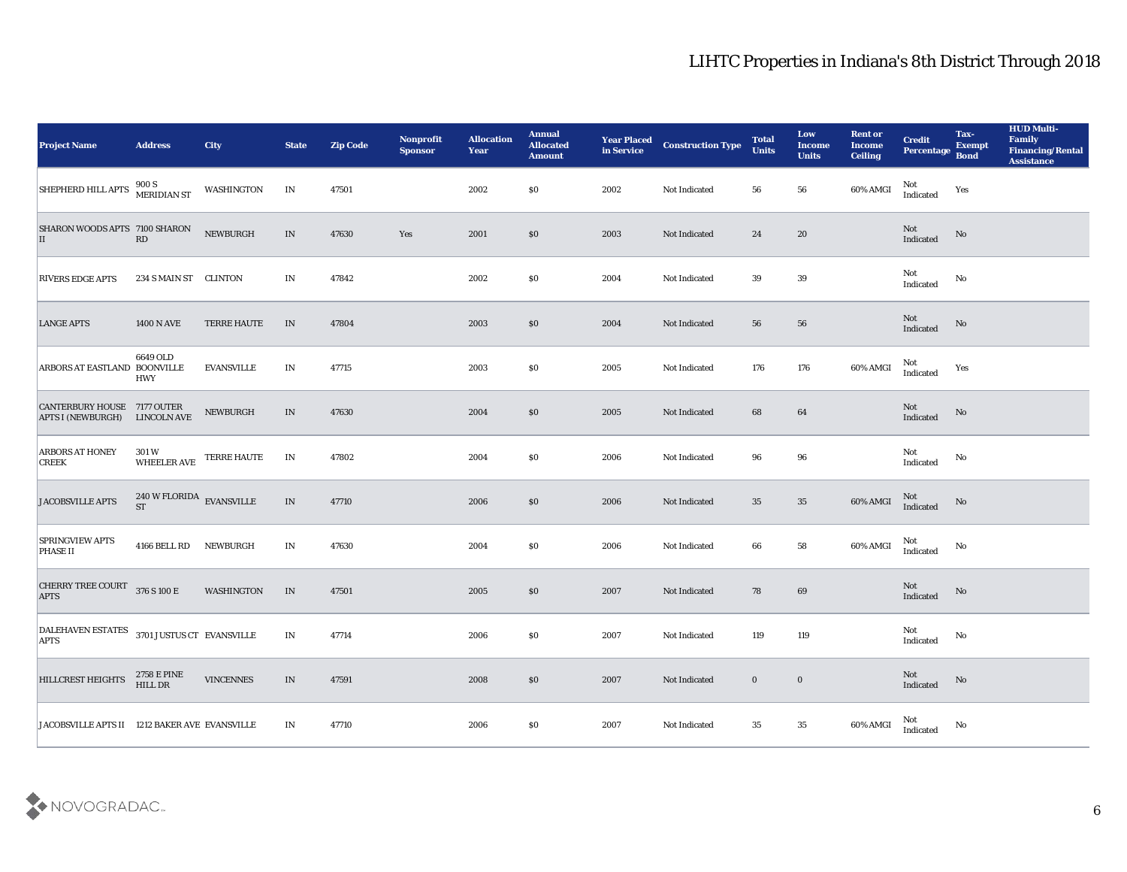| <b>Project Name</b>                                            | <b>Address</b>                                                  | <b>City</b>        | <b>State</b> | <b>Zip Code</b> | Nonprofit<br><b>Sponsor</b> | <b>Allocation</b><br><b>Year</b> | <b>Annual</b><br><b>Allocated</b><br><b>Amount</b> | <b>Year Placed</b><br>in Service | <b>Construction Type</b> | <b>Total</b><br><b>Units</b> | Low<br><b>Income</b><br><b>Units</b> | <b>Rent or</b><br><b>Income</b><br><b>Ceiling</b> | <b>Credit</b><br>Percentage | Tax-<br><b>Exempt</b><br><b>Bond</b> | <b>HUD Multi-</b><br>Family<br><b>Financing/Rental</b><br><b>Assistance</b> |
|----------------------------------------------------------------|-----------------------------------------------------------------|--------------------|--------------|-----------------|-----------------------------|----------------------------------|----------------------------------------------------|----------------------------------|--------------------------|------------------------------|--------------------------------------|---------------------------------------------------|-----------------------------|--------------------------------------|-----------------------------------------------------------------------------|
| SHEPHERD HILL APTS                                             | $900\:\mathrm{S}\xspace$ MERIDIAN ST                            | WASHINGTON         | IN           | 47501           |                             | 2002                             | $\$0$                                              | 2002                             | Not Indicated            | 56                           | 56                                   | 60% AMGI                                          | Not<br>Indicated            | Yes                                  |                                                                             |
| SHARON WOODS APTS 7100 SHARON<br>П                             | $\mathbf{R}\mathbf{D}$                                          | NEWBURGH           | IN           | 47630           | Yes                         | 2001                             | $\$0$                                              | 2003                             | Not Indicated            | 24                           | 20                                   |                                                   | Not<br>Indicated            | No                                   |                                                                             |
| <b>RIVERS EDGE APTS</b>                                        | 234 S MAIN ST CLINTON                                           |                    | IN           | 47842           |                             | 2002                             | \$0                                                | 2004                             | Not Indicated            | 39                           | 39                                   |                                                   | Not<br>Indicated            | No                                   |                                                                             |
| <b>LANGE APTS</b>                                              | <b>1400 N AVE</b>                                               | <b>TERRE HAUTE</b> | IN           | 47804           |                             | 2003                             | \$0                                                | 2004                             | Not Indicated            | 56                           | 56                                   |                                                   | Not<br>Indicated            | No                                   |                                                                             |
| ARBORS AT EASTLAND BOONVILLE                                   | 6649 OLD<br><b>HWY</b>                                          | <b>EVANSVILLE</b>  | IN           | 47715           |                             | 2003                             | \$0                                                | 2005                             | Not Indicated            | 176                          | 176                                  | 60% AMGI                                          | Not<br>Indicated            | Yes                                  |                                                                             |
| <b>CANTERBURY HOUSE 7177 OUTER</b><br><b>APTS I (NEWBURGH)</b> | <b>LINCOLN AVE</b>                                              | NEWBURGH           | IN           | 47630           |                             | 2004                             | $\$0$                                              | 2005                             | Not Indicated            | 68                           | 64                                   |                                                   | Not<br>Indicated            | No                                   |                                                                             |
| ARBORS AT HONEY<br><b>CREEK</b>                                | 301 W<br><b>WHEELER AVE</b>                                     | TERRE HAUTE        | IN           | 47802           |                             | 2004                             | $\$0$                                              | 2006                             | Not Indicated            | 96                           | 96                                   |                                                   | Not<br>Indicated            | No                                   |                                                                             |
| <b>JACOBSVILLE APTS</b>                                        | $240\,\mathrm{W}\,\mathrm{FLORIDA}\,\,$ EVANSVILLE<br><b>ST</b> |                    | IN           | 47710           |                             | 2006                             | \$0\$                                              | 2006                             | Not Indicated            | 35                           | 35                                   | 60% AMGI                                          | Not<br>Indicated            | No                                   |                                                                             |
| <b>SPRINGVIEW APTS</b><br><b>PHASE II</b>                      | 4166 BELL RD                                                    | NEWBURGH           | IN           | 47630           |                             | 2004                             | \$0\$                                              | 2006                             | Not Indicated            | 66                           | 58                                   | 60% AMGI                                          | Not<br>Indicated            | No                                   |                                                                             |
| CHERRY TREE COURT 376 S 100 E<br><b>APTS</b>                   |                                                                 | WASHINGTON         | IN           | 47501           |                             | 2005                             | $\$0$                                              | 2007                             | Not Indicated            | 78                           | 69                                   |                                                   | Not<br>Indicated            | No                                   |                                                                             |
| DALEHAVEN ESTATES 3701 JUSTUS CT EVANSVILLE<br><b>APTS</b>     |                                                                 |                    | IN           | 47714           |                             | 2006                             | \$0\$                                              | 2007                             | Not Indicated            | 119                          | 119                                  |                                                   | Not<br>Indicated            | No                                   |                                                                             |
| <b>HILLCREST HEIGHTS</b>                                       | $2758\to \mathrm{PINE}$ HILL DR                                 | <b>VINCENNES</b>   | $\,$ IN $\,$ | 47591           |                             | 2008                             | $\$0$                                              | 2007                             | Not Indicated            | $\bf{0}$                     | $\boldsymbol{0}$                     |                                                   | Not<br>Indicated            | $\rm\thinspace No$                   |                                                                             |
| JACOBSVILLE APTS II 1212 BAKER AVE EVANSVILLE                  |                                                                 |                    | IN           | 47710           |                             | 2006                             | \$0                                                | 2007                             | Not Indicated            | 35                           | $35\,$                               | 60% AMGI                                          | Not<br>Indicated            | $\mathbf {No}$                       |                                                                             |

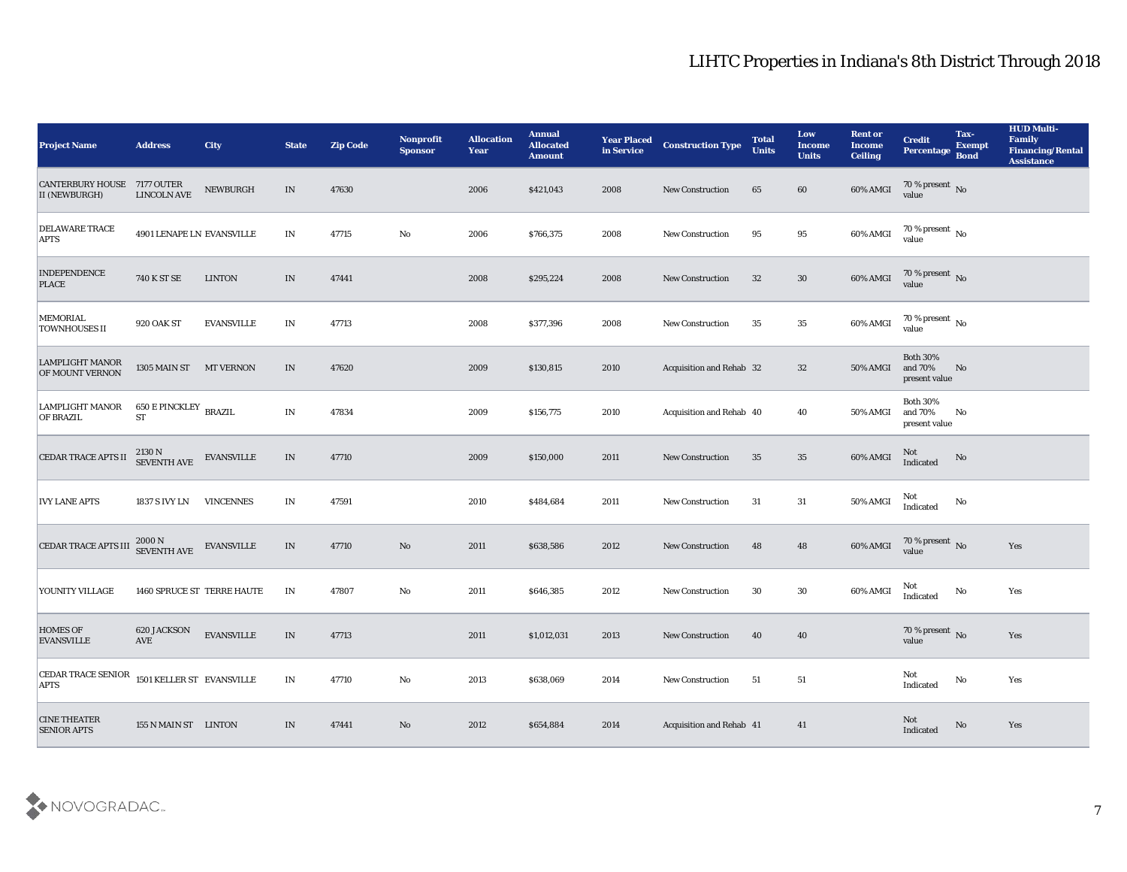| <b>Project Name</b>                                         | <b>Address</b>                     | <b>City</b>                | <b>State</b>                    | <b>Zip Code</b> | Nonprofit<br><b>Sponsor</b> | <b>Allocation</b><br><b>Year</b> | <b>Annual</b><br><b>Allocated</b><br><b>Amount</b> | <b>Year Placed</b><br>in Service | <b>Construction Type</b> | <b>Total</b><br><b>Units</b> | Low<br><b>Income</b><br><b>Units</b> | <b>Rent or</b><br><b>Income</b><br><b>Ceiling</b> | <b>Credit</b><br><b>Percentage</b>          | Tax-<br><b>Exempt</b><br><b>Bond</b> | <b>HUD Multi-</b><br>Family<br><b>Financing/Rental</b><br><b>Assistance</b> |
|-------------------------------------------------------------|------------------------------------|----------------------------|---------------------------------|-----------------|-----------------------------|----------------------------------|----------------------------------------------------|----------------------------------|--------------------------|------------------------------|--------------------------------------|---------------------------------------------------|---------------------------------------------|--------------------------------------|-----------------------------------------------------------------------------|
| <b>CANTERBURY HOUSE</b><br>II (NEWBURGH)                    | 7177 OUTER<br><b>LINCOLN AVE</b>   | NEWBURGH                   | IN                              | 47630           |                             | 2006                             | \$421,043                                          | 2008                             | <b>New Construction</b>  | 65                           | 60                                   | 60% AMGI                                          | 70 % present No<br>value                    |                                      |                                                                             |
| <b>DELAWARE TRACE</b><br><b>APTS</b>                        | 4901 LENAPE LN EVANSVILLE          |                            | IN                              | 47715           | No                          | 2006                             | \$766,375                                          | 2008                             | <b>New Construction</b>  | 95                           | 95                                   | 60% AMGI                                          | $70\,\% \,present \over value$              |                                      |                                                                             |
| <b>INDEPENDENCE</b><br><b>PLACE</b>                         | 740 K ST SE                        | <b>LINTON</b>              | IN                              | 47441           |                             | 2008                             | \$295,224                                          | 2008                             | <b>New Construction</b>  | 32                           | 30                                   | 60% AMGI                                          | $70\,\%$ present $\,$ No value              |                                      |                                                                             |
| <b>MEMORIAL</b><br><b>TOWNHOUSES II</b>                     | <b>920 OAK ST</b>                  | <b>EVANSVILLE</b>          | IN                              | 47713           |                             | 2008                             | \$377,396                                          | 2008                             | <b>New Construction</b>  | 35                           | 35                                   | 60% AMGI                                          | $70\,\%$ present $\,$ No value              |                                      |                                                                             |
| <b>LAMPLIGHT MANOR</b><br>OF MOUNT VERNON                   | 1305 MAIN ST MT VERNON             |                            | IN                              | 47620           |                             | 2009                             | \$130,815                                          | 2010                             | Acquisition and Rehab 32 |                              | 32                                   | 50% AMGI                                          | <b>Both 30%</b><br>and 70%<br>present value | No                                   |                                                                             |
| <b>LAMPLIGHT MANOR</b><br>OF BRAZIL                         | 650 E PINCKLEY BRAZIL<br><b>ST</b> |                            | IN                              | 47834           |                             | 2009                             | \$156,775                                          | 2010                             | Acquisition and Rehab 40 |                              | 40                                   | 50% AMGI                                          | <b>Both 30%</b><br>and 70%<br>present value | No                                   |                                                                             |
| CEDAR TRACE APTS II                                         | 2130 N<br>SEVENTH AVE              | <b>EVANSVILLE</b>          | IN                              | 47710           |                             | 2009                             | \$150,000                                          | 2011                             | <b>New Construction</b>  | 35                           | 35                                   | 60% AMGI                                          | Not<br>Indicated                            | No                                   |                                                                             |
| <b>IVY LANE APTS</b>                                        | 1837 S IVY LN                      | <b>VINCENNES</b>           | IN                              | 47591           |                             | 2010                             | \$484,684                                          | 2011                             | <b>New Construction</b>  | 31                           | 31                                   | 50% AMGI                                          | Not<br>Indicated                            | No                                   |                                                                             |
| CEDAR TRACE APTS III                                        | $2000$ N $$\rm{SEVENTH}$ AVE       | <b>EVANSVILLE</b>          | IN                              | 47710           | No                          | 2011                             | \$638,586                                          | 2012                             | <b>New Construction</b>  | 48                           | 48                                   | 60% AMGI                                          | $70\,\%$ present $\,$ No value              |                                      | Yes                                                                         |
| YOUNITY VILLAGE                                             |                                    | 1460 SPRUCE ST TERRE HAUTE | IN                              | 47807           | No                          | 2011                             | \$646,385                                          | 2012                             | <b>New Construction</b>  | 30                           | 30                                   | 60% AMGI                                          | Not<br>Indicated                            | No                                   | Yes                                                                         |
| <b>HOMES OF</b><br><b>EVANSVILLE</b>                        | 620 JACKSON<br>AVE                 | <b>EVANSVILLE</b>          | IN                              | 47713           |                             | 2011                             | \$1,012,031                                        | 2013                             | <b>New Construction</b>  | 40                           | 40                                   |                                                   | 70 % present No<br>value                    |                                      | Yes                                                                         |
| CEDAR TRACE SENIOR 1501 KELLER ST EVANSVILLE<br><b>APTS</b> |                                    |                            | $\mathbf{IN}$                   | 47710           | $\mathbf {No}$              | 2013                             | \$638,069                                          | 2014                             | New Construction         | 51                           | 51                                   |                                                   | Not<br>Indicated                            | $\rm\thinspace No$                   | $\mathbf{Yes}$                                                              |
| <b>CINE THEATER</b><br><b>SENIOR APTS</b>                   | 155 N MAIN ST LINTON               |                            | $\ensuremath{\text{IN}}\xspace$ | 47441           | $\mathbf {No}$              | 2012                             | \$654,884                                          | 2014                             | Acquisition and Rehab 41 |                              | 41                                   |                                                   | Not<br>Indicated                            | No                                   | Yes                                                                         |

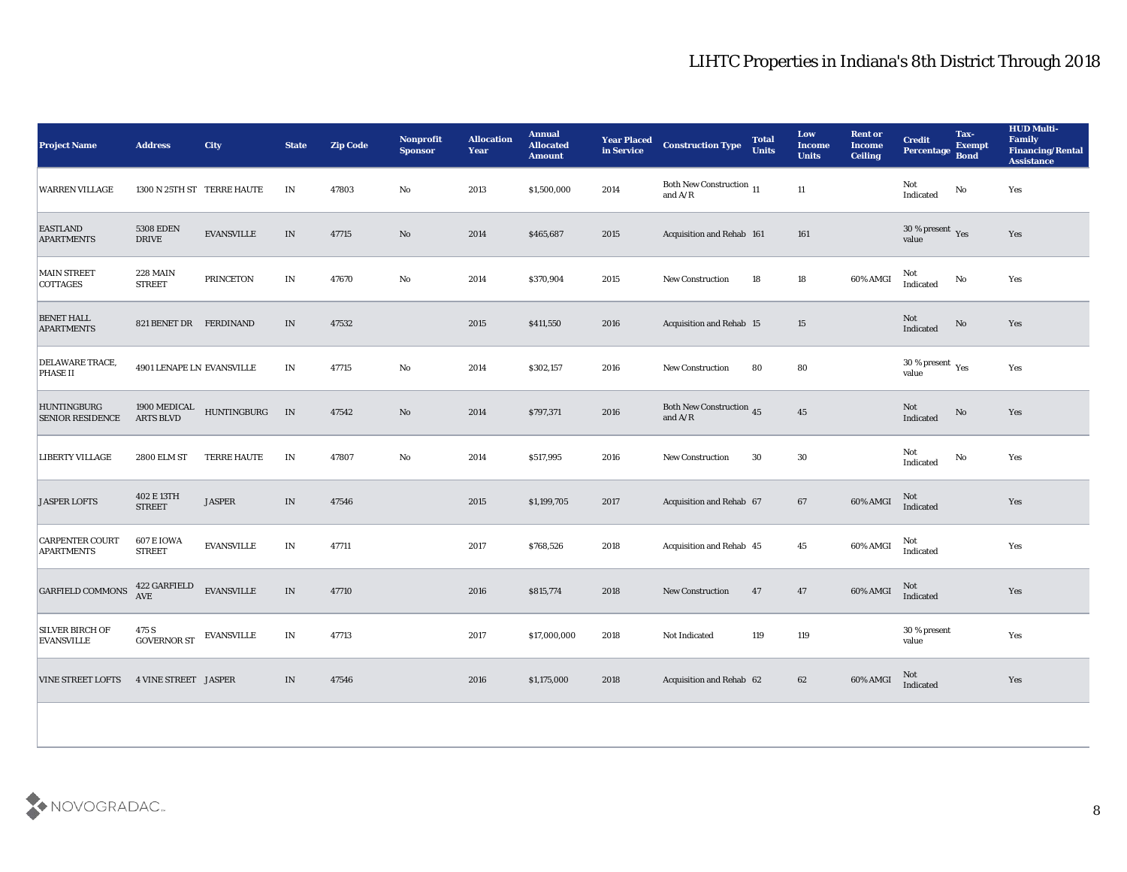| <b>Project Name</b>                           | <b>Address</b>                     | City                       | <b>State</b>  | <b>Zip Code</b> | <b>Nonprofit</b><br><b>Sponsor</b> | <b>Allocation</b><br>Year | <b>Annual</b><br><b>Allocated</b><br><b>Amount</b> | <b>Year Placed<br/>in Service</b> | <b>Construction Type</b>              | <b>Total</b><br><b>Units</b> | Low<br><b>Income</b><br><b>Units</b> | <b>Rent or</b><br><b>Income</b><br><b>Ceiling</b> | <b>Credit</b><br>Percentage Bond         | Tax-<br><b>Exempt</b> | <b>HUD Multi-</b><br>Family<br>Financing/Rental<br><b>Assistance</b> |
|-----------------------------------------------|------------------------------------|----------------------------|---------------|-----------------|------------------------------------|---------------------------|----------------------------------------------------|-----------------------------------|---------------------------------------|------------------------------|--------------------------------------|---------------------------------------------------|------------------------------------------|-----------------------|----------------------------------------------------------------------|
| <b>WARREN VILLAGE</b>                         |                                    | 1300 N 25TH ST TERRE HAUTE | IN            | 47803           | No                                 | 2013                      | \$1,500,000                                        | 2014                              | Both New Construction 11<br>and $A/R$ |                              | 11                                   |                                                   | Not<br>Indicated                         | No                    | Yes                                                                  |
| <b>EASTLAND</b><br><b>APARTMENTS</b>          | <b>5308 EDEN</b><br><b>DRIVE</b>   | <b>EVANSVILLE</b>          | $\mathbf{IN}$ | 47715           | $\mathbf{N}\mathbf{o}$             | 2014                      | \$465,687                                          | 2015                              | Acquisition and Rehab 161             |                              | 161                                  |                                                   | 30 % present $\gamma_{\rm e s}$<br>value |                       | Yes                                                                  |
| <b>MAIN STREET</b><br><b>COTTAGES</b>         | <b>228 MAIN</b><br><b>STREET</b>   | <b>PRINCETON</b>           | IN            | 47670           | No                                 | 2014                      | \$370,904                                          | 2015                              | New Construction                      | 18                           | 18                                   | 60% AMGI                                          | Not<br>Indicated                         | No                    | Yes                                                                  |
| <b>BENET HALL</b><br><b>APARTMENTS</b>        | 821 BENET DR FERDINAND             |                            | $\mathbf{IN}$ | 47532           |                                    | 2015                      | \$411,550                                          | 2016                              | Acquisition and Rehab 15              |                              | 15                                   |                                                   | Not<br>Indicated                         | No                    | Yes                                                                  |
| DELAWARE TRACE,<br><b>PHASE II</b>            | 4901 LENAPE LN EVANSVILLE          |                            | IN            | 47715           | $\rm No$                           | 2014                      | \$302,157                                          | 2016                              | <b>New Construction</b>               | 80                           | 80                                   |                                                   | 30 % present $_{\rm Yes}$<br>value       |                       | Yes                                                                  |
| <b>HUNTINGBURG</b><br><b>SENIOR RESIDENCE</b> | 1900 MEDICAL<br><b>ARTS BLVD</b>   | <b>HUNTINGBURG</b>         | IN            | 47542           | $\mathbf{N}\mathbf{o}$             | 2014                      | \$797,371                                          | 2016                              | Both New Construction 45<br>and $A/R$ |                              | 45                                   |                                                   | Not<br>Indicated                         | $\rm \bf No$          | Yes                                                                  |
| <b>LIBERTY VILLAGE</b>                        | <b>2800 ELM ST</b>                 | <b>TERRE HAUTE</b>         | IN            | 47807           | No                                 | 2014                      | \$517,995                                          | 2016                              | <b>New Construction</b>               | 30                           | 30                                   |                                                   | Not<br>$\operatorname{Indicated}$        | No                    | Yes                                                                  |
| <b>JASPER LOFTS</b>                           | 402 E 13TH<br><b>STREET</b>        | <b>JASPER</b>              | $\text{IN}{}$ | 47546           |                                    | 2015                      | \$1,199,705                                        | 2017                              | Acquisition and Rehab 67              |                              | 67                                   | 60% AMGI                                          | Not<br>Indicated                         |                       | Yes                                                                  |
| <b>CARPENTER COURT</b><br><b>APARTMENTS</b>   | <b>607 E IOWA</b><br><b>STREET</b> | <b>EVANSVILLE</b>          | IN            | 47711           |                                    | 2017                      | \$768,526                                          | 2018                              | Acquisition and Rehab 45              |                              | 45                                   | 60% AMGI                                          | Not<br>Indicated                         |                       | Yes                                                                  |
| <b>GARFIELD COMMONS</b>                       | 422 GARFIELD<br><b>AVE</b>         | <b>EVANSVILLE</b>          | $\mathbf{IN}$ | 47710           |                                    | 2016                      | \$815,774                                          | 2018                              | <b>New Construction</b>               | 47                           | 47                                   | 60% AMGI                                          | Not<br>Indicated                         |                       | Yes                                                                  |
| <b>SILVER BIRCH OF</b><br><b>EVANSVILLE</b>   | 475 S<br><b>GOVERNOR ST</b>        | <b>EVANSVILLE</b>          | IN            | 47713           |                                    | 2017                      | \$17,000,000                                       | 2018                              | Not Indicated                         | 119                          | 119                                  |                                                   | 30 % present<br>value                    |                       | Yes                                                                  |
| <b>VINE STREET LOFTS</b>                      | 4 VINE STREET JASPER               |                            | IN            | 47546           |                                    | 2016                      | \$1,175,000                                        | 2018                              | Acquisition and Rehab 62              |                              | 62                                   | 60% AMGI                                          | Not<br>Indicated                         |                       | Yes                                                                  |
|                                               |                                    |                            |               |                 |                                    |                           |                                                    |                                   |                                       |                              |                                      |                                                   |                                          |                       |                                                                      |